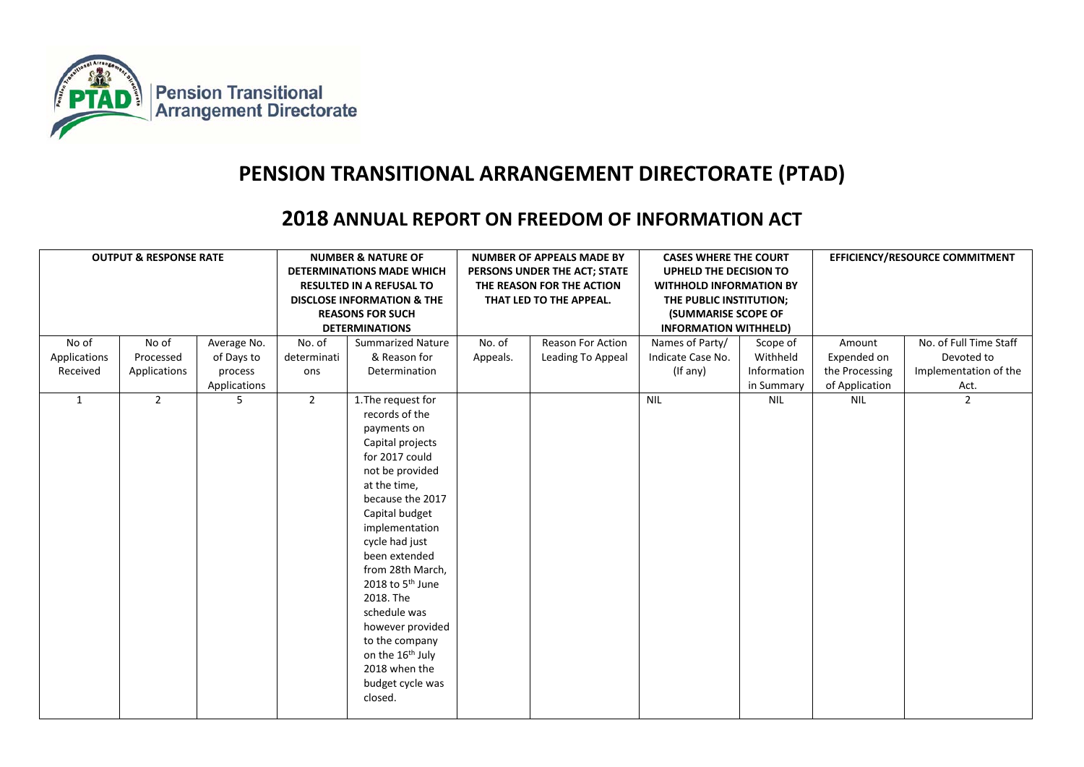

## **PENSION TRANSITIONAL ARRANGEMENT DIRECTORATE (PTAD)**

## **2018 ANNUAL REPORT ON FREEDOM OF INFORMATION ACT**

|              | <b>OUTPUT &amp; RESPONSE RATE</b> |              | <b>NUMBER &amp; NATURE OF</b><br><b>DETERMINATIONS MADE WHICH</b><br><b>RESULTED IN A REFUSAL TO</b><br><b>DISCLOSE INFORMATION &amp; THE</b><br><b>REASONS FOR SUCH</b><br><b>DETERMINATIONS</b> |                                                                                                                                                                                                                                                                                                                                                                                                                    | <b>NUMBER OF APPEALS MADE BY</b><br>PERSONS UNDER THE ACT; STATE<br>THE REASON FOR THE ACTION<br>THAT LED TO THE APPEAL. |                   | <b>CASES WHERE THE COURT</b><br>UPHELD THE DECISION TO<br><b>WITHHOLD INFORMATION BY</b><br>THE PUBLIC INSTITUTION;<br><b>(SUMMARISE SCOPE OF</b><br><b>INFORMATION WITHHELD)</b> |             | EFFICIENCY/RESOURCE COMMITMENT |                        |
|--------------|-----------------------------------|--------------|---------------------------------------------------------------------------------------------------------------------------------------------------------------------------------------------------|--------------------------------------------------------------------------------------------------------------------------------------------------------------------------------------------------------------------------------------------------------------------------------------------------------------------------------------------------------------------------------------------------------------------|--------------------------------------------------------------------------------------------------------------------------|-------------------|-----------------------------------------------------------------------------------------------------------------------------------------------------------------------------------|-------------|--------------------------------|------------------------|
| No of        | No of                             | Average No.  | No. of                                                                                                                                                                                            | <b>Summarized Nature</b>                                                                                                                                                                                                                                                                                                                                                                                           | No. of                                                                                                                   | Reason For Action | Names of Party/                                                                                                                                                                   | Scope of    | Amount                         | No. of Full Time Staff |
| Applications | Processed                         | of Days to   | determinati                                                                                                                                                                                       | & Reason for                                                                                                                                                                                                                                                                                                                                                                                                       | Appeals.                                                                                                                 | Leading To Appeal | Indicate Case No.                                                                                                                                                                 | Withheld    | Expended on                    | Devoted to             |
| Received     | Applications                      | process      | ons                                                                                                                                                                                               | Determination                                                                                                                                                                                                                                                                                                                                                                                                      |                                                                                                                          |                   | (If any)                                                                                                                                                                          | Information | the Processing                 | Implementation of the  |
|              |                                   | Applications |                                                                                                                                                                                                   |                                                                                                                                                                                                                                                                                                                                                                                                                    |                                                                                                                          |                   |                                                                                                                                                                                   | in Summary  | of Application                 | Act.                   |
| 1            | $\overline{2}$                    | 5            | $\overline{2}$                                                                                                                                                                                    | 1. The request for<br>records of the<br>payments on<br>Capital projects<br>for 2017 could<br>not be provided<br>at the time,<br>because the 2017<br>Capital budget<br>implementation<br>cycle had just<br>been extended<br>from 28th March,<br>2018 to 5 <sup>th</sup> June<br>2018. The<br>schedule was<br>however provided<br>to the company<br>on the 16th July<br>2018 when the<br>budget cycle was<br>closed. |                                                                                                                          |                   | <b>NIL</b>                                                                                                                                                                        | <b>NIL</b>  | NIL                            | $\overline{2}$         |